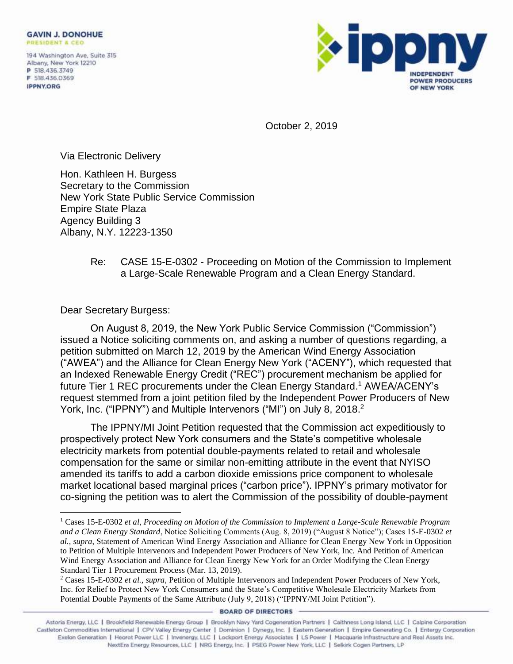194 Washington Ave, Suite 315 Albany, New York 12210 P 518.436.3749 F 518.436.0369 **IPPNY.ORG** 



October 2, 2019

Via Electronic Delivery

Hon. Kathleen H. Burgess Secretary to the Commission New York State Public Service Commission Empire State Plaza Agency Building 3 Albany, N.Y. 12223-1350

## Re: CASE 15-E-0302 - Proceeding on Motion of the Commission to Implement a Large-Scale Renewable Program and a Clean Energy Standard.

Dear Secretary Burgess:

On August 8, 2019, the New York Public Service Commission ("Commission") issued a Notice soliciting comments on, and asking a number of questions regarding, a petition submitted on March 12, 2019 by the American Wind Energy Association ("AWEA") and the Alliance for Clean Energy New York ("ACENY"), which requested that an Indexed Renewable Energy Credit ("REC") procurement mechanism be applied for future Tier 1 REC procurements under the Clean Energy Standard. <sup>1</sup> AWEA/ACENY's request stemmed from a joint petition filed by the Independent Power Producers of New York, Inc. ("IPPNY") and Multiple Intervenors ("MI") on July 8, 2018.<sup>2</sup>

The IPPNY/MI Joint Petition requested that the Commission act expeditiously to prospectively protect New York consumers and the State's competitive wholesale electricity markets from potential double-payments related to retail and wholesale compensation for the same or similar non-emitting attribute in the event that NYISO amended its tariffs to add a carbon dioxide emissions price component to wholesale market locational based marginal prices ("carbon price"). IPPNY's primary motivator for co-signing the petition was to alert the Commission of the possibility of double-payment

**BOARD OF DIRECTORS** 

<sup>1</sup> Cases 15-E-0302 *et al*, *Proceeding on Motion of the Commission to Implement a Large-Scale Renewable Program and a Clean Energy Standard*, Notice Soliciting Comments (Aug. 8, 2019) ("August 8 Notice"); Cases 15-E-0302 *et al., supra*, Statement of American Wind Energy Association and Alliance for Clean Energy New York in Opposition to Petition of Multiple Intervenors and Independent Power Producers of New York, Inc. And Petition of American Wind Energy Association and Alliance for Clean Energy New York for an Order Modifying the Clean Energy Standard Tier 1 Procurement Process (Mar. 13, 2019).

<sup>2</sup> Cases 15-E-0302 *et al., supra*, Petition of Multiple Intervenors and Independent Power Producers of New York, Inc. for Relief to Protect New York Consumers and the State's Competitive Wholesale Electricity Markets from Potential Double Payments of the Same Attribute (July 9, 2018) ("IPPNY/MI Joint Petition").

Astoria Energy, LLC | Brookfield Renewable Energy Group | Brooklyn Navy Yard Cogeneration Partners | Caithness Long Island, LLC | Calpine Corporation<br>1) Castleton Commodities International | CPV Valley Energy Center | Domi Exelon Generation | Heorot Power LLC | Invenergy, LLC | Lockport Energy Associates | LS Power | Macquarie Infrastructure and Real Assets Inc. NextEra Energy Resources, LLC | NRG Energy, Inc. | PSEG Power New York, LLC | Selkirk Cogen Partners, LP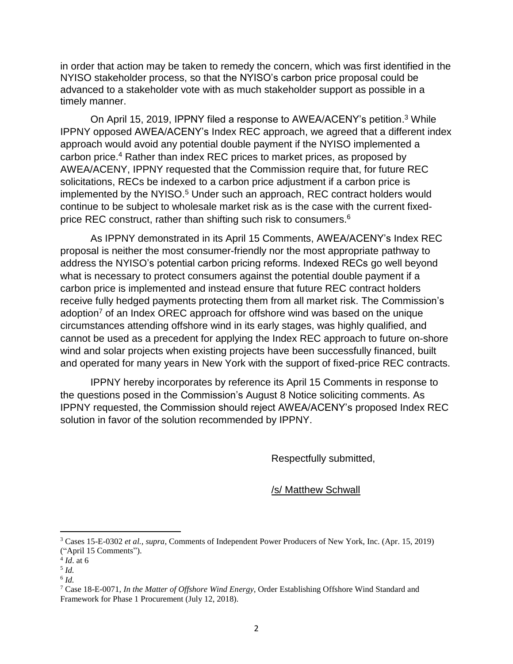in order that action may be taken to remedy the concern, which was first identified in the NYISO stakeholder process, so that the NYISO's carbon price proposal could be advanced to a stakeholder vote with as much stakeholder support as possible in a timely manner.

On April 15, 2019, IPPNY filed a response to AWEA/ACENY's petition.<sup>3</sup> While IPPNY opposed AWEA/ACENY's Index REC approach, we agreed that a different index approach would avoid any potential double payment if the NYISO implemented a carbon price.<sup>4</sup> Rather than index REC prices to market prices, as proposed by AWEA/ACENY, IPPNY requested that the Commission require that, for future REC solicitations, RECs be indexed to a carbon price adjustment if a carbon price is implemented by the NYISO.<sup>5</sup> Under such an approach, REC contract holders would continue to be subject to wholesale market risk as is the case with the current fixedprice REC construct, rather than shifting such risk to consumers.<sup>6</sup>

As IPPNY demonstrated in its April 15 Comments, AWEA/ACENY's Index REC proposal is neither the most consumer-friendly nor the most appropriate pathway to address the NYISO's potential carbon pricing reforms. Indexed RECs go well beyond what is necessary to protect consumers against the potential double payment if a carbon price is implemented and instead ensure that future REC contract holders receive fully hedged payments protecting them from all market risk. The Commission's adoption<sup>7</sup> of an Index OREC approach for offshore wind was based on the unique circumstances attending offshore wind in its early stages, was highly qualified, and cannot be used as a precedent for applying the Index REC approach to future on-shore wind and solar projects when existing projects have been successfully financed, built and operated for many years in New York with the support of fixed-price REC contracts.

IPPNY hereby incorporates by reference its April 15 Comments in response to the questions posed in the Commission's August 8 Notice soliciting comments. As IPPNY requested, the Commission should reject AWEA/ACENY's proposed Index REC solution in favor of the solution recommended by IPPNY.

Respectfully submitted,

/s/ Matthew Schwall

<sup>3</sup> Cases 15-E-0302 *et al., supra*, Comments of Independent Power Producers of New York, Inc. (Apr. 15, 2019) ("April 15 Comments").

<sup>4</sup> *Id*. at 6

<sup>5</sup> *Id.* 

<sup>6</sup> *Id.*

<sup>7</sup> Case 18-E-0071, *In the Matter of Offshore Wind Energy*, Order Establishing Offshore Wind Standard and Framework for Phase 1 Procurement (July 12, 2018).